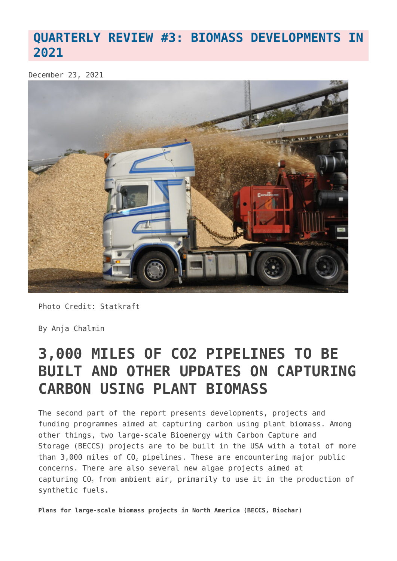## **[QUARTERLY REVIEW #3: BIOMASS DEVELOPMENTS IN](https://www.geoengineeringmonitor.org/2021/12/quarterly-review-3-biomass-developments-in-2021/) [2021](https://www.geoengineeringmonitor.org/2021/12/quarterly-review-3-biomass-developments-in-2021/)**

December 23, 2021



Photo Credit: Statkraft

By Anja Chalmin

## **3,000 MILES OF CO2 PIPELINES TO BE BUILT AND OTHER UPDATES ON CAPTURING CARBON USING PLANT BIOMASS**

The second part of the report presents developments, projects and funding programmes aimed at capturing carbon using plant biomass. Among other things, two large-scale Bioenergy with Carbon Capture and Storage (BECCS) projects are to be built in the USA with a total of more than 3,000 miles of CO<sub>2</sub> pipelines. These are encountering major public concerns. There are also several new algae projects aimed at capturing  $CO<sub>2</sub>$  from ambient air, primarily to use it in the production of synthetic fuels.

**Plans for large-scale biomass projects in North America (BECCS, Biochar)**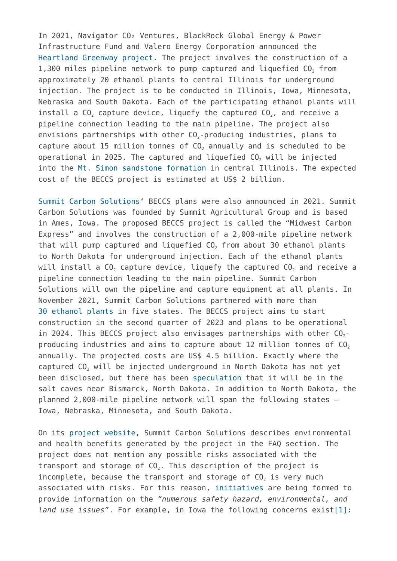In 2021, Navigator CO2 Ventures, BlackRock Global Energy & Power Infrastructure Fund and Valero Energy Corporation announced the [Heartland Greenway project.](https://map.geoengineeringmonitor.org/ggr/heartland-greenway) The project involves the construction of a 1,300 miles pipeline network to pump captured and liquefied  $CO<sub>2</sub>$  from approximately 20 ethanol plants to central Illinois for underground injection. The project is to be conducted in Illinois, Iowa, Minnesota, Nebraska and South Dakota. Each of the participating ethanol plants will install a  $CO<sub>2</sub>$  capture device, liquefy the captured  $CO<sub>2</sub>$ , and receive a pipeline connection leading to the main pipeline. The project also envisions partnerships with other  $CO<sub>2</sub>$ -producing industries, plans to capture about 15 million tonnes of CO<sub>2</sub> annually and is scheduled to be operational in 2025. The captured and liquefied  $CO<sub>2</sub>$  will be injected into the [Mt. Simon sandstone formation](https://map.geoengineeringmonitor.org/ggr/heartland-greenway-mt-simon-storage-site) in central Illinois. The expected cost of the BECCS project is estimated at US\$ 2 billion.

[Summit Carbon Solutions'](https://map.geoengineeringmonitor.org/ggr/summit-carbon-solutions) BECCS plans were also announced in 2021. Summit Carbon Solutions was founded by Summit Agricultural Group and is based in Ames, Iowa. The proposed BECCS project is called the "Midwest Carbon Express" and involves the construction of a 2,000-mile pipeline network that will pump captured and liquefied CO<sub>2</sub> from about 30 ethanol plants to North Dakota for underground injection. Each of the ethanol plants will install a  $CO<sub>2</sub>$  capture device, liquefy the captured  $CO<sub>2</sub>$  and receive a pipeline connection leading to the main pipeline. Summit Carbon Solutions will own the pipeline and capture equipment at all plants. In November 2021, Summit Carbon Solutions partnered with more than [30 ethanol plants](https://www.summitcarbonsolutions.com/our-partners) in five states. The BECCS project aims to start construction in the second quarter of 2023 and plans to be operational in 2024. This BECCS project also envisages partnerships with other  $CO_{2}$ producing industries and aims to capture about 12 million tonnes of  $CO<sub>2</sub>$ annually. The projected costs are US\$ 4.5 billion. Exactly where the captured CO<sub>2</sub> will be injected underground in North Dakota has not yet been disclosed, but there has been [speculation](https://www.biofuelsdigest.com/bdigest/2021/02/18/crushing-ethanols-co2-footprint-summit-carbon-launches-10mt-carbon-capture-green-plains-is-in/) that it will be in the salt caves near Bismarck, North Dakota. In addition to North Dakota, the planned 2,000-mile pipeline network will span the following states – Iowa, Nebraska, Minnesota, and South Dakota.

On its [project website](https://www.summitcarbonsolutions.com/tribalengagement), Summit Carbon Solutions describes environmental and health benefits generated by the project in the FAQ section. The project does not mention any possible risks associated with the transport and storage of  $CO<sub>2</sub>$ . This description of the project is incomplete, because the transport and storage of  $CO<sub>2</sub>$  is very much associated with risks. For this reason, [initiatives](https://boldnebraska.org/know-your-rights-landowners-interstate-carbon-pipelines/) are being formed to provide information on the *"numerous safety hazard, environmental, and land use issues"*. For example, in Iowa the following concerns exis[t\[1\]](#page--1-0):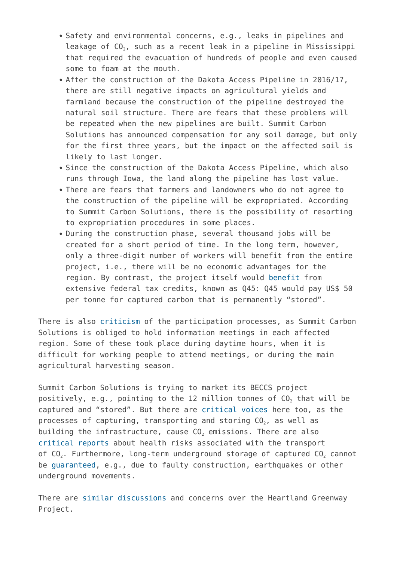- Safety and environmental concerns, e.g., leaks in pipelines and leakage of  $CO<sub>2</sub>$ , such as a recent leak in a pipeline in Mississippi that required the evacuation of hundreds of people and even caused some to foam at the mouth.
- After the construction of the Dakota Access Pipeline in 2016/17, there are still negative impacts on agricultural yields and farmland because the construction of the pipeline destroyed the natural soil structure. There are fears that these problems will be repeated when the new pipelines are built. Summit Carbon Solutions has announced compensation for any soil damage, but only for the first three years, but the impact on the affected soil is likely to last longer.
- Since the construction of the Dakota Access Pipeline, which also runs through Iowa, the land along the pipeline has lost value.
- There are fears that farmers and landowners who do not agree to the construction of the pipeline will be expropriated. According to Summit Carbon Solutions, there is the possibility of resorting to expropriation procedures in some places.
- During the construction phase, several thousand jobs will be created for a short period of time. In the long term, however, only a three-digit number of workers will benefit from the entire project, i.e., there will be no economic advantages for the region. By contrast, the project itself would [benefit](https://www.dtnpf.com/agriculture/web/ag/news/business-inputs/article/2021/10/19/ethanol-producers-see-carbon-boon) from extensive federal tax credits, known as Q45: Q45 would pay US\$ 50 per tonne for captured carbon that is permanently "stored".

There is also [criticism](https://dakotafreepress.com/2021/10/19/iowa-developers-share-co2-pipeline-map-announce-public-meetings-in-sd-oct-26-27/) of the participation processes, as Summit Carbon Solutions is obliged to hold information meetings in each affected region. Some of these took place during daytime hours, when it is difficult for working people to attend meetings, or during the main agricultural harvesting season.

Summit Carbon Solutions is trying to market its BECCS project positively, e.g., pointing to the 12 million tonnes of  $CO<sub>2</sub>$  that will be captured and "stored". But there are [critical voices](https://www.cfra.org/blog/midwest-carbon-dioxide-pipelines-what-we-know-and-questions-remain) here too, as the processes of capturing, transporting and storing  $CO<sub>2</sub>$ , as well as building the infrastructure, cause  $CO<sub>2</sub>$  emissions. There are also [critical reports](https://www.chronicletimes.com/story/2907981.html) about health risks associated with the transport of  $CO<sub>2</sub>$ . Furthermore, long-term underground storage of captured  $CO<sub>2</sub>$  cannot be [guaranteed,](https://www.geoengineeringmonitor.org/wp-content/uploads/2021/04/carbon-capture-and-storage.pdf) e.g., due to faulty construction, earthquakes or other underground movements.

There are [similar discussions](https://ocj.com/2021/08/pipelines-seek-to-hit-net-zero-ethanol/) and concerns over the Heartland Greenway Project.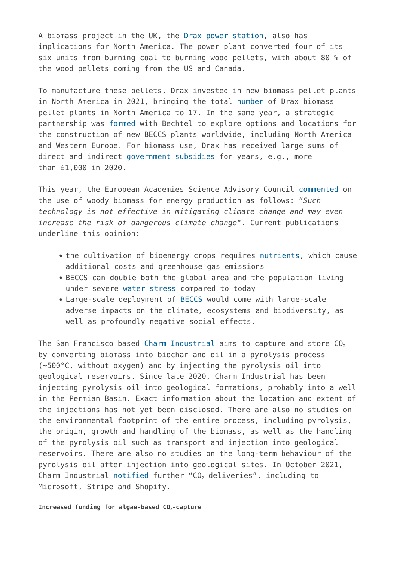A biomass project in the UK, the [Drax power station](https://map.geoengineeringmonitor.org/ggr/drax-project), also has implications for North America. The power plant converted four of its six units from burning coal to burning wood pellets, with about 80 % of the wood pellets coming from the US and Canada.

To manufacture these pellets, Drax invested in new biomass pellet plants in North America in 2021, bringing the total [number](https://www.drax.com/press_release/drax-completes-acquisition-of-pinnacle-renewable-energy-inc/) of Drax biomass pellet plants in North America to 17. In the same year, a strategic partnership was [formed w](https://www.drax.com/press_release/bechtel-and-drax-partner-to-explore-global-opportunities-for-new-build-beccs/)ith Bechtel to explore options and locations for the construction of new BECCS plants worldwide, including North America and Western Europe. For biomass use, Drax has received large sums of direct and indirect [government subsidies](https://ember-climate.org/commentary/2021/02/25/drax-biomass-subsidies/) for years, e.g., more than £1,000 in 2020.

This year, the European Academies Science Advisory Council [commented](https://easac.eu/media-room/press-releases/details/easac-welcomes-that-the-jrc-report-strengthens-the-case-for-shorter-payback-periods-on-woody-biomass/) on the use of woody biomass for energy production as follows: "*Such technology is not effective in mitigating climate change and may even increase the risk of dangerous climate change*". Current publications underline this opinion:

- the cultivation of bioenergy crops requires [nutrients](https://pubs.acs.org/doi/10.1021/acs.est.1c02238), which cause additional costs and greenhouse gas emissions
- BECCS can double both the global area and the population living under severe [water stress](https://www.nature.com/articles/s41467-021-21640-3) compared to today
- Large-scale deployment of [BECCS](https://www.geoengineeringmonitor.org/wp-content/uploads/2021/11/BECCS_Briefing.pdf) would come with large-scale adverse impacts on the climate, ecosystems and biodiversity, as well as profoundly negative social effects.

The San Francisco based [Charm Industrial](https://map.geoengineeringmonitor.org/ggr/charm-industrial) aims to capture and store  $CO<sub>2</sub>$ by converting biomass into biochar and oil in a pyrolysis process (~500°C, without oxygen) and by injecting the pyrolysis oil into geological reservoirs. Since late 2020, Charm Industrial has been injecting pyrolysis oil into geological formations, probably into a well in the Permian Basin. Exact information about the location and extent of the injections has not yet been disclosed. There are also no studies on the environmental footprint of the entire process, including pyrolysis, the origin, growth and handling of the biomass, as well as the handling of the pyrolysis oil such as transport and injection into geological reservoirs. There are also no studies on the long-term behaviour of the pyrolysis oil after injection into geological sites. In October 2021, Charm Industrial [notified](https://charmindustrial.com/blog/largest-permanent-carbon-removal-delivery-of-all-time) further "CO<sub>2</sub> deliveries", including to Microsoft, Stripe and Shopify.

Increased funding for algae-based  $CO<sub>2</sub>$ -capture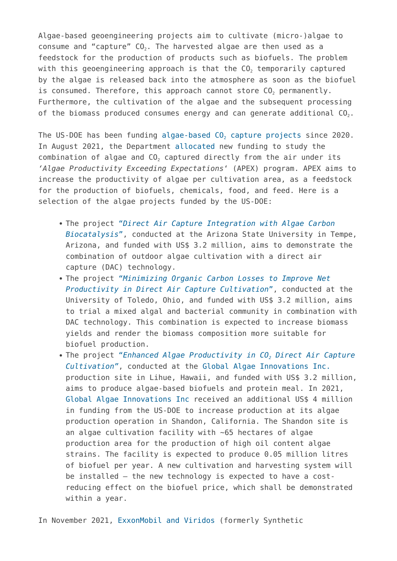Algae-based geoengineering projects aim to cultivate (micro-)algae to consume and "capture"  $CO<sub>2</sub>$ . The harvested algae are then used as a feedstock for the production of products such as biofuels. The problem with this geoengineering approach is that the  $CO<sub>2</sub>$  temporarily captured by the algae is released back into the atmosphere as soon as the biofuel is consumed. Therefore, this approach cannot store  $CO<sub>2</sub>$  permanently. Furthermore, the cultivation of the algae and the subsequent processing of the biomass produced consumes energy and can generate additional  $CO<sub>2</sub>$ .

The US-DOE has been funding algae-based  $CO<sub>2</sub>$  $CO<sub>2</sub>$  $CO<sub>2</sub>$  [capture projects](https://map.geoengineeringmonitor.org/other/us-doe-algae-funding-opportunity) since 2020. In August 2021, the Department [allocated](https://www.energy.gov/eere/bioenergy/articles/department-energy-announces-nearly-34-million-advance-waste-and-algae) new funding to study the combination of algae and CO<sub>2</sub> captured directly from the air under its *'Algae Productivity Exceeding Expectations*' (APEX) program. APEX aims to increase the productivity of algae per cultivation area, as a feedstock for the production of biofuels, chemicals, food, and feed. Here is a selection of the algae projects funded by the US-DOE:

- The project ["](https://www.energy.gov/sites/default/files/2021-07/2423-1539_Arizona_State_University_Topic_Area_2_Al_SummaryAbstract.pdf)*[Direct Air Capture Integration with Algae Carbon](https://www.energy.gov/sites/default/files/2021-07/2423-1539_Arizona_State_University_Topic_Area_2_Al_SummaryAbstract.pdf) [Biocatalysis](https://www.energy.gov/sites/default/files/2021-07/2423-1539_Arizona_State_University_Topic_Area_2_Al_SummaryAbstract.pdf)*[",](https://www.energy.gov/sites/default/files/2021-07/2423-1539_Arizona_State_University_Topic_Area_2_Al_SummaryAbstract.pdf) conducted at the Arizona State University in Tempe, Arizona, and funded with US\$ 3.2 million, aims to demonstrate the combination of outdoor algae cultivation with a direct air capture (DAC) technology.
- The project ["](https://www.energy.gov/sites/default/files/2021-07/2423-1544_University_of_Toledo_Topic_Area_2_Al_SummaryAbstract.pdf)*[Minimizing Organic Carbon Losses to Improve Net](https://www.energy.gov/sites/default/files/2021-07/2423-1544_University_of_Toledo_Topic_Area_2_Al_SummaryAbstract.pdf) [Productivity in Direct Air Capture Cultivation](https://www.energy.gov/sites/default/files/2021-07/2423-1544_University_of_Toledo_Topic_Area_2_Al_SummaryAbstract.pdf)*[",](https://www.energy.gov/sites/default/files/2021-07/2423-1544_University_of_Toledo_Topic_Area_2_Al_SummaryAbstract.pdf) conducted at the University of Toledo, Ohio, and funded with US\$ 3.2 million, aims to trial a mixed algal and bacterial community in combination with DAC technology. This combination is expected to increase biomass yields and render the biomass composition more suitable for biofuel production.
- The project ["](https://www.energy.gov/sites/default/files/2021-07/2423-1578_Global_Algae_Innovations_Inc_Topic_Area_2_Al_SummaryAbstract.pdf)*[Enhanced Algae Productivity in CO](https://www.energy.gov/sites/default/files/2021-07/2423-1578_Global_Algae_Innovations_Inc_Topic_Area_2_Al_SummaryAbstract.pdf)[2](https://www.energy.gov/sites/default/files/2021-07/2423-1578_Global_Algae_Innovations_Inc_Topic_Area_2_Al_SummaryAbstract.pdf) [Direct Air Capture](https://www.energy.gov/sites/default/files/2021-07/2423-1578_Global_Algae_Innovations_Inc_Topic_Area_2_Al_SummaryAbstract.pdf) [Cultivation"](https://www.energy.gov/sites/default/files/2021-07/2423-1578_Global_Algae_Innovations_Inc_Topic_Area_2_Al_SummaryAbstract.pdf)*, conducted at the [Global Algae Innovations Inc.](https://www.globalgae.com/about) production site in Lihue, Hawaii, and funded with US\$ 3.2 million, aims to produce algae-based biofuels and protein meal. In 2021, [Global Algae Innovations Inc](https://map.geoengineeringmonitor.org/other/global-algae-innovation) received an additional US\$ 4 million in funding from the US-DOE to increase production at its algae production operation in Shandon, California. The Shandon site is an algae cultivation facility with ~65 hectares of algae production area for the production of high oil content algae strains. The facility is expected to produce 0.05 million litres of biofuel per year. A new cultivation and harvesting system will be installed – the new technology is expected to have a costreducing effect on the biofuel price, which shall be demonstrated within a year.